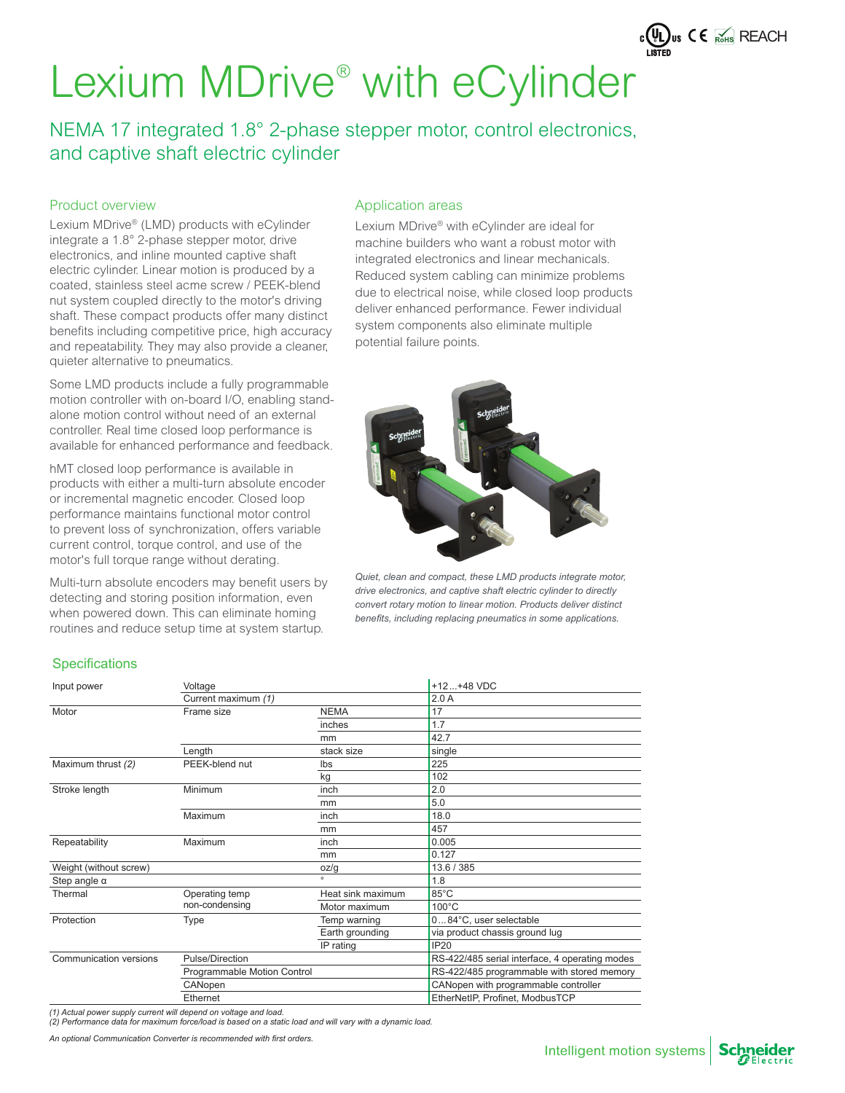

NEMA 17 integrated 1.8° 2-phase stepper motor, control electronics, and captive shaft electric cylinder

## Product overview

Lexium MDrive® (LMD) products with eCylinder integrate a 1.8° 2-phase stepper motor, drive electronics, and inline mounted captive shaft electric cylinder. Linear motion is produced by a coated, stainless steel acme screw / PEEK-blend nut system coupled directly to the motor's driving shaft. These compact products offer many distinct benefits including competitive price, high accuracy and repeatability. They may also provide a cleaner, quieter alternative to pneumatics.

Some LMD products include a fully programmable motion controller with on-board I/O, enabling standalone motion control without need of an external controller. Real time closed loop performance is available for enhanced performance and feedback.

hMT closed loop performance is available in products with either a multi-turn absolute encoder or incremental magnetic encoder. Closed loop performance maintains functional motor control to prevent loss of synchronization, offers variable current control, torque control, and use of the motor's full torque range without derating.

Multi-turn absolute encoders may benefit users by detecting and storing position information, even when powered down. This can eliminate homing routines and reduce setup time at system startup.

## Application areas

Lexium MDrive® with eCylinder are ideal for machine builders who want a robust motor with integrated electronics and linear mechanicals. Reduced system cabling can minimize problems due to electrical noise, while closed loop products deliver enhanced performance. Fewer individual system components also eliminate multiple potential failure points.



*Quiet, clean and compact, these LMD products integrate motor, drive electronics, and captive shaft electric cylinder to directly convert rotary motion to linear motion. Products deliver distinct*  benefits, including replacing pneumatics in some applications.

## **Specifications**

| Input power            | Voltage                     |                   | $+12+48$ VDC                                   |  |  |
|------------------------|-----------------------------|-------------------|------------------------------------------------|--|--|
|                        | Current maximum (1)         |                   | 2.0A                                           |  |  |
| Motor                  | Frame size                  | <b>NEMA</b>       | 17                                             |  |  |
|                        |                             | inches            | 1.7                                            |  |  |
|                        |                             | mm                | 42.7                                           |  |  |
|                        | Length                      | stack size        | single                                         |  |  |
| Maximum thrust (2)     | PEEK-blend nut              | Ibs               | 225                                            |  |  |
|                        |                             | kg                | 102                                            |  |  |
| Stroke length          | Minimum                     | inch              | 2.0                                            |  |  |
|                        |                             | mm                | 5.0                                            |  |  |
|                        | Maximum                     | inch              | 18.0                                           |  |  |
|                        |                             | mm                | 457                                            |  |  |
| Repeatability          | Maximum                     | inch              | 0.005                                          |  |  |
|                        |                             | mm                | 0.127                                          |  |  |
| Weight (without screw) |                             | oz/g              | 13.6 / 385                                     |  |  |
| Step angle $\alpha$    |                             | $\circ$           | 1.8                                            |  |  |
| Thermal                | Operating temp              | Heat sink maximum | 85°C                                           |  |  |
|                        | non-condensing              | Motor maximum     | $100^{\circ}$ C                                |  |  |
| Protection             | <b>Type</b>                 | Temp warning      | 084°C, user selectable                         |  |  |
|                        |                             | Earth grounding   | via product chassis ground lug                 |  |  |
|                        |                             | IP rating         | <b>IP20</b>                                    |  |  |
| Communication versions | Pulse/Direction             |                   | RS-422/485 serial interface, 4 operating modes |  |  |
|                        | Programmable Motion Control |                   | RS-422/485 programmable with stored memory     |  |  |
|                        | CANopen                     |                   | CANopen with programmable controller           |  |  |
|                        | Ethernet                    |                   | EtherNetIP, Profinet, ModbusTCP                |  |  |

*(1) Actual power supply current will depend on voltage and load.*

*(2) Performance data for maximum force/load is based on a static load and will vary with a dynamic load.*

An optional Communication Converter is recommended with first orders.

Schneider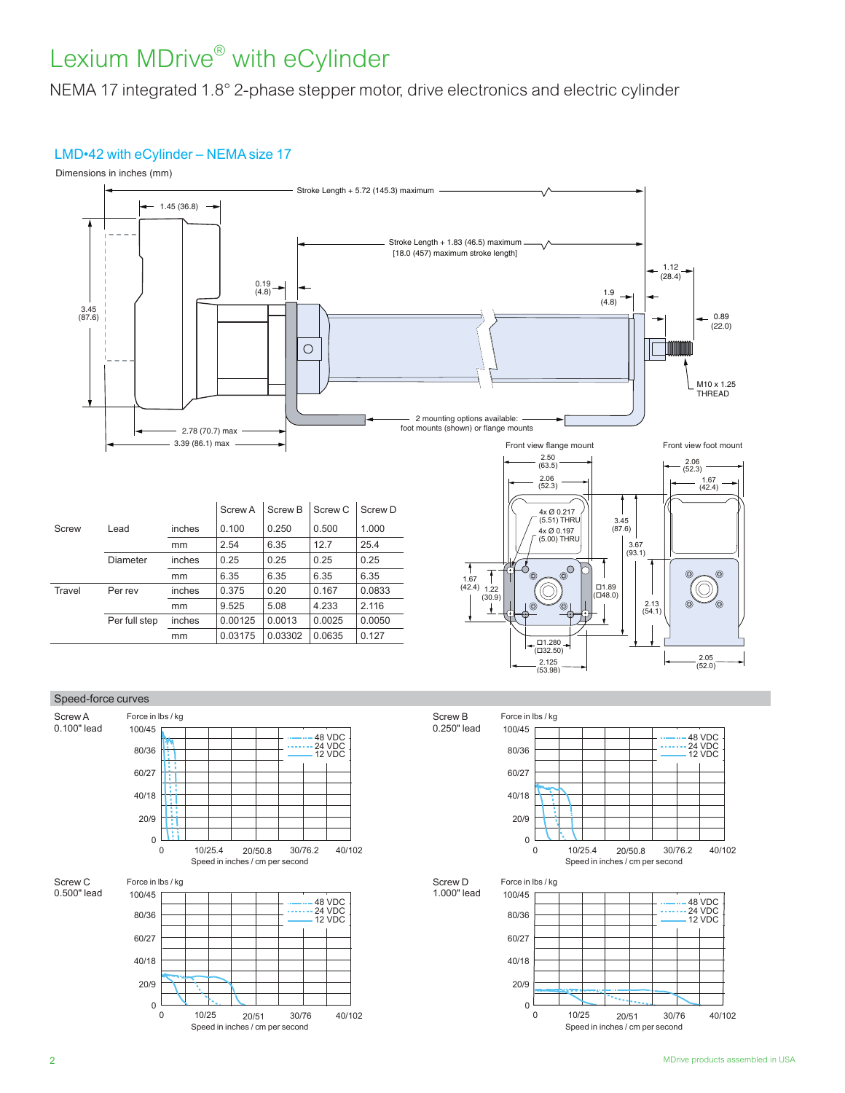NEMA 17 integrated 1.8° 2-phase stepper motor, drive electronics and electric cylinder

## LMD•42 with eCylinder – NEMA size 17







Speed in inches / cm per second

0 10/25 20/51 30/76 40/102

 $\Omega$ 60/27 40/18 80/36 20/9

Force in lbs / kg

100/45





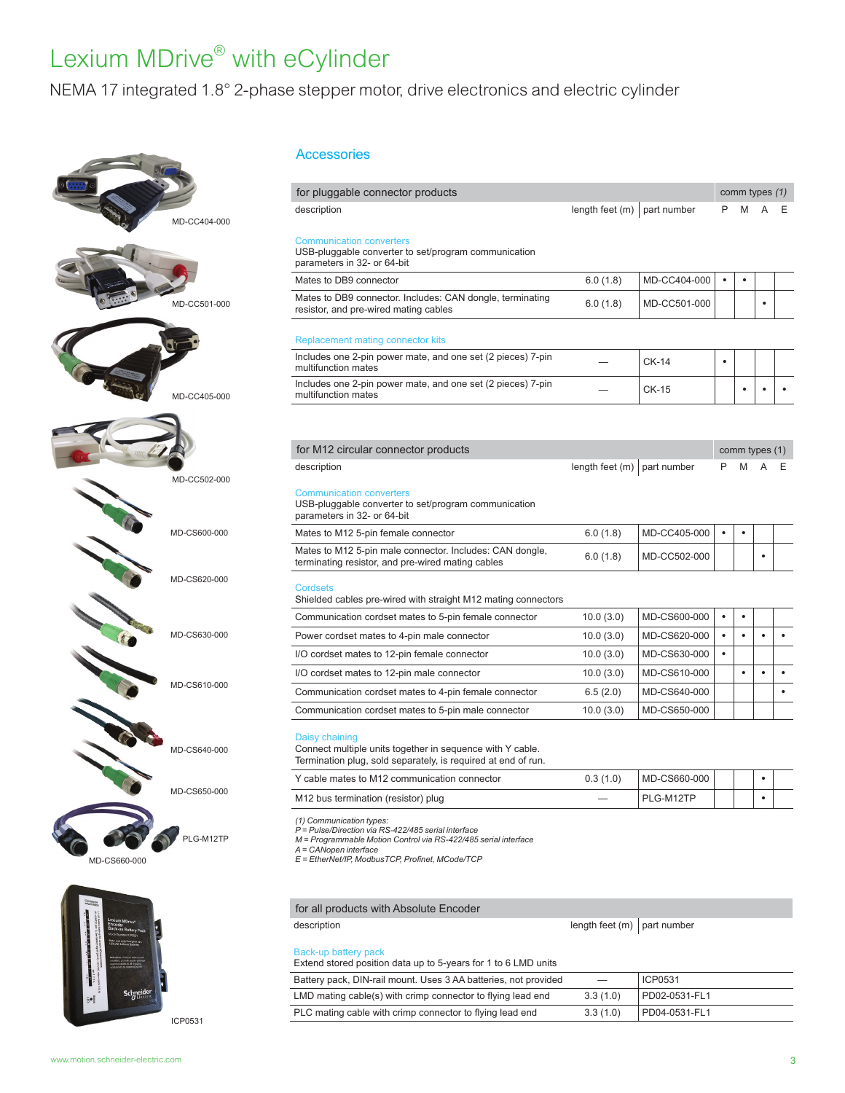## NEMA 17 integrated 1.8° 2-phase stepper motor, drive electronics and electric cylinder





Accessories

| for pluggable connector products                                                                                                                                                                                               |                                 |              |           | comm types $(1)$ |           |
|--------------------------------------------------------------------------------------------------------------------------------------------------------------------------------------------------------------------------------|---------------------------------|--------------|-----------|------------------|-----------|
| description                                                                                                                                                                                                                    | length feet (m)                 | part number  | P         |                  |           |
| <b>Communication converters</b><br>USB-pluggable converter to set/program communication<br>parameters in 32- or 64-bit                                                                                                         |                                 |              |           |                  |           |
| Mates to DB9 connector                                                                                                                                                                                                         | 6.0(1.8)                        | MD-CC404-000 | ٠         | $\bullet$        |           |
| Mates to DB9 connector. Includes: CAN dongle, terminating<br>resistor, and pre-wired mating cables                                                                                                                             | 6.0(1.8)                        | MD-CC501-000 |           |                  | ٠         |
| <b>Replacement mating connector kits</b>                                                                                                                                                                                       |                                 |              |           |                  |           |
| Includes one 2-pin power mate, and one set (2 pieces) 7-pin<br>multifunction mates                                                                                                                                             |                                 | CK-14        | ٠         |                  |           |
| Includes one 2-pin power mate, and one set (2 pieces) 7-pin<br>multifunction mates                                                                                                                                             |                                 | CK-15        |           | ٠                | ٠         |
|                                                                                                                                                                                                                                |                                 |              |           |                  |           |
| for M12 circular connector products                                                                                                                                                                                            |                                 |              |           | comm types (1)   |           |
| description                                                                                                                                                                                                                    | length feet $(m)$   part number |              | P         | M                |           |
| <b>Communication converters</b><br>USB-pluggable converter to set/program communication<br>parameters in 32- or 64-bit                                                                                                         |                                 |              |           |                  |           |
| Mates to M12 5-pin female connector                                                                                                                                                                                            | 6.0(1.8)                        | MD-CC405-000 | ٠         |                  |           |
| Mates to M12 5-pin male connector. Includes: CAN dongle,<br>terminating resistor, and pre-wired mating cables                                                                                                                  | 6.0(1.8)                        | MD-CC502-000 |           |                  |           |
| <b>Cordsets</b><br>Shielded cables pre-wired with straight M12 mating connectors                                                                                                                                               |                                 |              |           |                  |           |
| Communication cordset mates to 5-pin female connector                                                                                                                                                                          | 10.0(3.0)                       | MD-CS600-000 | ٠         | ٠                |           |
| Power cordset mates to 4-pin male connector                                                                                                                                                                                    | 10.0(3.0)                       | MD-CS620-000 | $\bullet$ | $\bullet$        |           |
| I/O cordset mates to 12-pin female connector                                                                                                                                                                                   | 10.0 (3.0)                      | MD-CS630-000 | $\bullet$ |                  |           |
| I/O cordset mates to 12-pin male connector                                                                                                                                                                                     | 10.0(3.0)                       | MD-CS610-000 |           | ٠                | $\bullet$ |
| Communication cordset mates to 4-pin female connector                                                                                                                                                                          | 6.5(2.0)                        | MD-CS640-000 |           |                  |           |
| Communication cordset mates to 5-pin male connector                                                                                                                                                                            | 10.0 (3.0)                      | MD-CS650-000 |           |                  |           |
| Daisy chaining<br>Connect multiple units together in sequence with Y cable.<br>Termination plug, sold separately, is required at end of run.                                                                                   |                                 |              |           |                  |           |
| Y cable mates to M12 communication connector                                                                                                                                                                                   | 0.3(1.0)                        | MD-CS660-000 |           |                  |           |
| M12 bus termination (resistor) plug                                                                                                                                                                                            |                                 | PLG-M12TP    |           |                  | ٠         |
| (1) Communication types:<br>P = Pulse/Direction via RS-422/485 serial interface<br>M = Programmable Motion Control via RS-422/485 serial interface<br>A = CANopen interface<br>E = EtherNet/IP, ModbusTCP, Profinet, MCode/TCP |                                 |              |           |                  |           |
|                                                                                                                                                                                                                                |                                 |              |           |                  |           |
| for all products with Absolute Encoder                                                                                                                                                                                         |                                 |              |           |                  |           |

Back-up battery pack Extend stored position data up to 5-years for 1 to 6 LMD units

| Battery pack, DIN-rail mount. Uses 3 AA batteries, not provided |          | ICP0531       |
|-----------------------------------------------------------------|----------|---------------|
| LMD mating cable(s) with crimp connector to flying lead end     | 3.3(1.0) | PD02-0531-FL1 |
| PLC mating cable with crimp connector to flying lead end        | 3.3(1.0) | PD04-0531-FL1 |

ICP0531